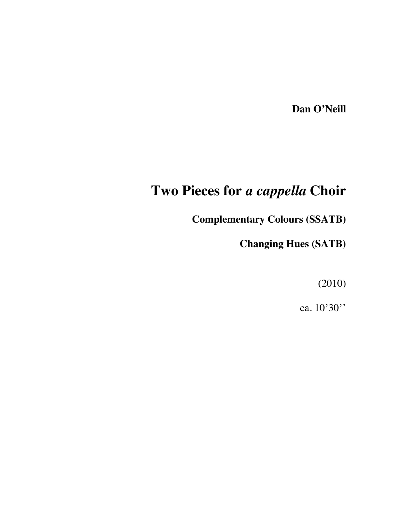**Dan O'Neill**

## **Two Pieces for** *a cappella* **Choir**

**Complementary Colours (SSATB)**

**Changing Hues (SATB)**

(2010)

ca. 10'30''